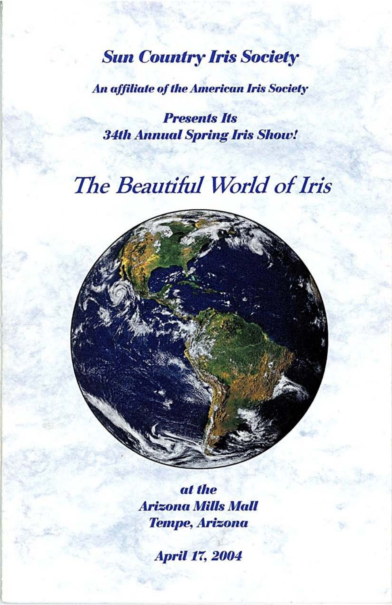# **Sun Country Iris Society**

**An affiliate of the American Iris Society** 

**Presents Its 34th Annual Spring Iris Show!** 

# The Beautiful World of Iris

at the **Arizona Mills Mall Tempe, Arizona** 

**April 17, 2004**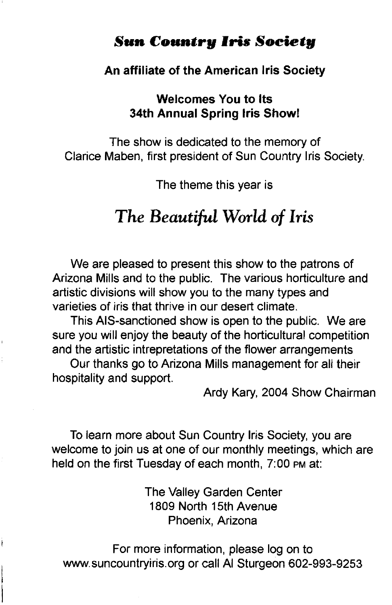# **Sun Countrg Iris Societg**

#### **An affiliate of the American Iris Society**

#### **Welcomes You to Its 34th Annual Spring Iris Show!**

The show is dedicated to the memory of Clarice Maben, first president of Sun Country Iris Society.

The theme this year is

# *The Beautiful* **World** *of Iris*

We are pleased to present this show to the patrons of Arizona Mills and to the public. The various horticulture and artistic divisions will show you to the many types and varieties of iris that thrive in our desert climate.

This AIS-sanctioned show is open to the public. We are sure you will enjoy the beauty of the horticultural competition and the artistic intrepretations of the flower arrangements

Our thanks go to Arizona Mills management for all their hospitality and support.

Ardy Kary, 2004 Show Chairman

To learn more about Sun Country Iris Society, you are welcome to join us at one of our monthly meetings, which are held on the first Tuesday of each month, 7:00 PM at:

> The Valley Garden Center 1809 North 15th Avenue Phoenix, Arizona

For more information, please log on to www.suncountryiris.org or call AI Sturgeon 602-993-9253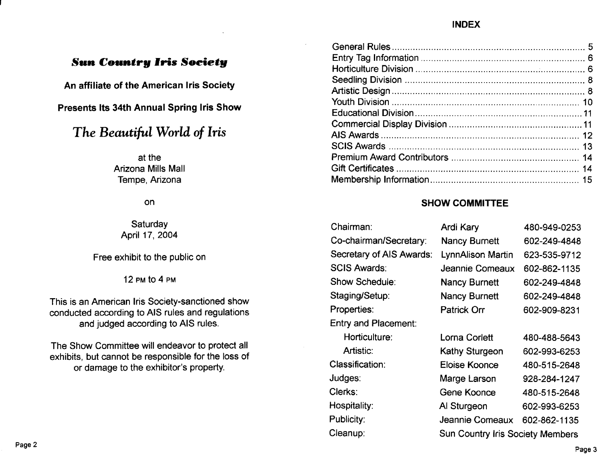### **INDEX**

# **Sun Country Iris Society**

An affiliate of the American Iris Society

Presents Its 34th Annual Spring Iris Show

# The Beautiful World of Iris

at the Arizona Mills Mall Tempe, Arizona

on

Saturday April 17, 2004

Free exhibit to the public on

12 PM to 4 PM

This is an American Iris Society-sanctioned show conducted according to AIS rules and regulations and judged according to AIS rules.

The Show Committee will endeavor to protect all exhibits, but cannot be responsible for the loss of or damage to the exhibitor's property.

# **SHOW COMMITTEE**

| Chairman:                | Ardi Kary                               | 480-949-0253 |
|--------------------------|-----------------------------------------|--------------|
| Co-chairman/Secretary:   | <b>Nancy Burnett</b>                    | 602-249-4848 |
| Secretary of AIS Awards: | LynnAlison Martin                       | 623-535-9712 |
| <b>SCIS Awards:</b>      | Jeannie Comeaux                         | 602-862-1135 |
| Show Schedule:           | <b>Nancy Burnett</b>                    | 602-249-4848 |
| Staging/Setup:           | <b>Nancy Burnett</b>                    | 602-249-4848 |
| Properties:              | Patrick Orr                             | 602-909-8231 |
| Entry and Placement:     |                                         |              |
| Horticulture:            | Lorna Corlett                           | 480-488-5643 |
| Artistic:                | Kathy Sturgeon                          | 602-993-6253 |
| Classification:          | Eloise Koonce                           | 480-515-2648 |
| Judges:                  | Marge Larson                            | 928-284-1247 |
| Clerks:                  | Gene Koonce                             | 480-515-2648 |
| Hospitality:             | Al Sturgeon                             | 602-993-6253 |
| Publicity:               | Jeannie Comeaux                         | 602-862-1135 |
| Cleanup:                 | <b>Sun Country Iris Society Members</b> |              |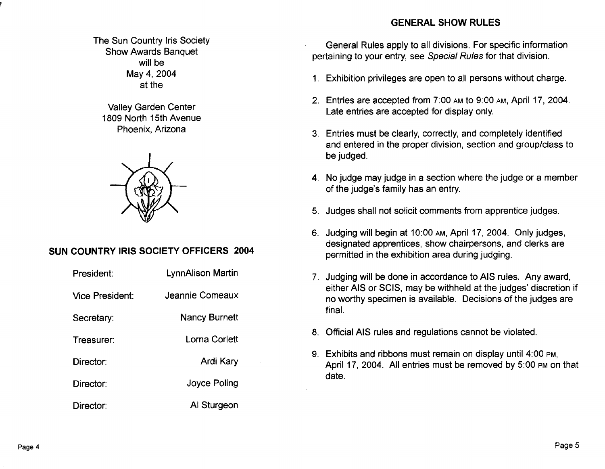# The Sun Country Iris Society Show Awards Banquet will be May 4, 2004 at the

Valley Garden Center 1809 North 15th Avenue Phoenix, Arizona



# **SUN COUNTRY IRIS SOCIETY OFFICERS 2004**

| President:      | <b>LynnAlison Martin</b> |
|-----------------|--------------------------|
| Vice President: | Jeannie Comeaux          |
| Secretary:      | <b>Nancy Burnett</b>     |
| Treasurer:      | Lorna Corlett            |
| Director:       | Ardi Kary                |
| Director:       | Joyce Poling             |
| Director:       | Al Sturgeon              |

### **GENERAL SHOW RULES**

General Rules apply to all divisions. For specific information pertaining to your entry, see Special Rules for that division.

- 1. Exhibition privileges are open to all persons without charge.
- 2. Entries are accepted from 7:00 AM to 9:00 AM, April 17,2004. Late entries are accepted for display only.
- 3. Entries must be clearly, correctly, and completely identified and entered in the proper division, section and group/class to be judged.
- 4. No judge may judge in a section where the judge or a member of the judge's family has an entry.
- 5. Judges shall not solicit comments from apprentice judges.
- 6. Judging will begin at 10:00 AM, April 17, 2004. Only judges, designated apprentices, show chairpersons, and clerks are permitted in the exhibition area during judging.
- 7. Judging will be done in accordance to AIS rules. Any award, either AIS or SCIS, may be withheld at the judges' discretion if no worthy specimen is available. Decisions of the judges are final.
- 8. Official AIS rules and regulations cannot be violated.
- 9. Exhibits and ribbons must remain on display until 4:00 PM, April 17, 2004. All entries must be removed by 5:00 PM on that date.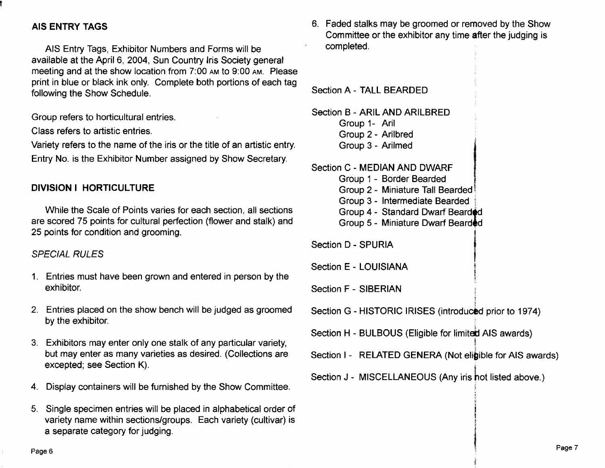# AIS ENTRY TAGS

AIS Entry Tags, Exhibitor Numbers and Forms will be available at the April 6, 2004, Sun Country Iris Society general meeting and at the show location from 7:00 AM to 9:00 AM. Please print in blue or black ink only. Complete both portions of each tag following the Show Schedule.

Group refers to horticultural entries.

Class refers to artistic entries.

Variety refers to the name of the iris or the title of an artistic entry. Entry No. is the Exhibitor Number assigned by Show Secretary.

# DIVISION I HORTICULTURE

While the Scale of Points varies for each section, all sections are scored 75 points for cultural perfection (flower and stalk) and 25 points for condition and grooming.

#### SPECIAL RULES

- 1. Entries must have been grown and entered in person by the exhibitor.
- 2. Entries placed on the show bench will be judged as groomed by the exhibitor.
- 3. Exhibitors may enter only one stalk of any particular variety, but may enter as many varieties as desired. (Collections are excepted; see Section K).
- 4. Display containers will be furnished by the Show Committee.
- 5. Single specimen entries will be placed in alphabetical order of variety name within sections/groups. Each variety (cultivar) is a separate category for judging.

6. Faded stalks may be groomed or removed by the Show Committee or the exhibitor any time after the judging is completed.

Section A - TALL BEARDED

Section B - ARIL AND ARILBRED Group 1- Aril Group 2 - Arilbred . Group 3 - Arilmed

Section C - MEDIAN AND DWARF

- Group 1 Border Bearded
- Group 2 Miniature Tall Bearded,
- Group 3 Intermediate Bearded 1
- Group 4 Standard Dwarf Bearded
- Group 5 Miniature Dwarf Bearded.<br>Section D SPURIA

Section E - LOUISIANA

Section F - SIBERIAN

Section G - HISTORIC IRISES (introduced prior to 1974)

,<br>,<br>,<br>,<br>,<br>, Section H - BULBOUS (Eligible for limited AIS awards) I

Section I - RELATED GENERA (Not eligible for AIS awards)

 $\ddot{\phantom{a}}$  $\sum_{i=1}^{n}$ 

¥

i<br>International<br>International

Section J - MISCELLANEOUS (Any iris hot listed above.)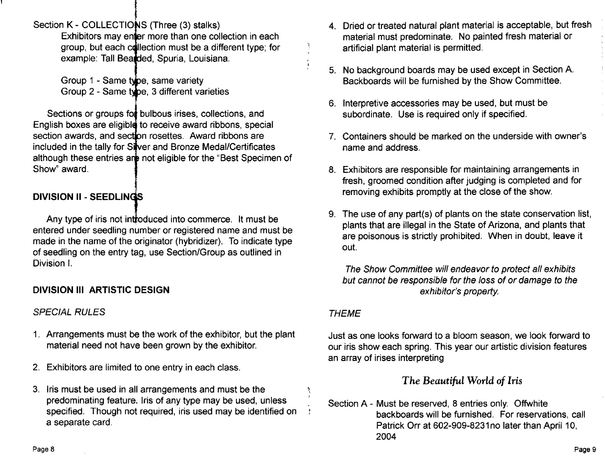t<br>1<br>Alc Section K - COLLECTIONS (Three (3) stalks)

Exhibitors may enter more than one collection in each group, but each collection must be a different type; for example: Tall Beadded, Spuria, Louisiana.

Group 1 - Same twpe, same variety Group 2 - Same type, 3 different varieties

Sections or groups for bulbous irises, collections, and English boxes are eligible to receive award ribbons, special section awards, and sect**i**on rosettes. Award ribbons are included in the tally for Si**l**ver and Bronze Medal/Certificates although these entries ar**e** not eligible for the "Best Specimen of Show" award.

# **DIVISION II - SEEDLINGS**

Any type of iris not intj'oduced into commerce. It must be entered under seedling number or registered name and must be made in the name of the originator (hybridizer). To indicate type of seedling on the entry tag, use Section/Group as outlined in Division I.

# **DIVISION III ARTISTIC DESIGN**

# SPECIAL RULES

- 1. Arrangements must be the work of the exhibitor, but the plant material need not have been grown by the exhibitor.
- 2. Exhibitors are limited to one entry in each class.
- 3. Iris must be used in all arrangements and must be the predominating feature. Iris of any type may be used, unless specified. Though not required, iris used may be identified on a separate card.
- 4. Dried or treated natural plant material is acceptable, but fresh material must predominate. No painted fresh material or artificial plant material is permitted.
- 5. No background boards may be used except in Section A. Backboards will be furnished by the Show Committee.
- 6. Interpretive accessories may be used, but must be subordinate. Use is required only if specified.
- 7. Containers should be marked on the underside with owner's name and address.
- 8. Exhibitors are responsible for maintaining arrangements in fresh, groomed condition after judging is completed and for removing exhibits promptly at the close of the show.
- 9. The use of any part(s) of plants on the state conservation list, plants that are illegal in the State of Arizona, and plants that are poisonous is strictly prohibited. When in doubt, leave it out.

The Show Committee will endeavor to protect all exhibits but cannot be responsible for the loss of or damage to the exhibitor's property

# **THEME**

l' \ i

Just as one looks forward to a bloom season, we look forward to our iris show each spring. This year our artistic division features an array of irises interpreting

# *The Beautiful World of Iris*

Section A - Must be reserved, 8 entries only. Offwhite backboards will be furnished. For reservations, call Patrick Orr at 602-909-8231 no later than April 10, 2004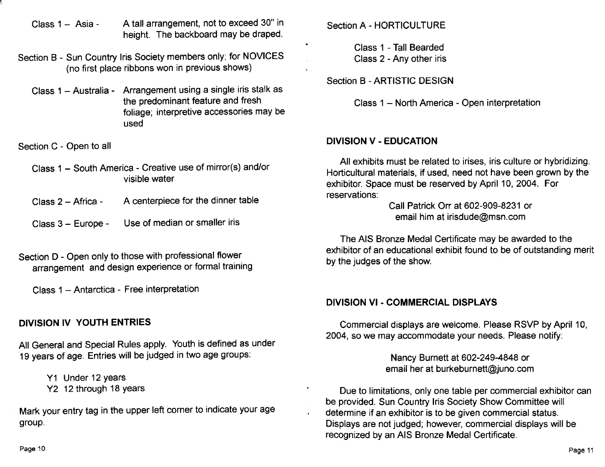- Class  $1 Asia A$  tall arrangement, not to exceed 30" in height. The backboard may be draped.
- Section B Sun Country Iris Society members only; for NOVICES (no first place ribbons won in previous shows)
	- Class 1 Australia Arrangement using a single iris stalk as the predominant feature and fresh foliage; interpretive accessories may be used

Section C - Open to all

- Class 1 South America Creative use of mirror(s) and/or visible water
- Class 2 Africa A centerpiece for the dinner table
- Class 3 Europe Use of median or smaller iris
- Section D Open only to those with professional flower arrangement and design experience or formal training

Class 1 - Antarctica - Free interpretation

# **DIVISION IV YOUTH ENTRIES**

All General and Special Rules apply. Youth is defined as under 19 years of age. Entries will be judged in two age groups:

- Y1 Under 12 years
- Y2 12 through 18 years

Mark your entry tag in the upper left corner to indicate your age group.

Section A - HORTICULTURE

Class 1 - Tall Bearded Class 2 - Any other iris

Section B - ARTISTIC DESIGN

Class 1 - North America - Open interpretation

### **DIVISION V - EDUCATION**

All exhibits must be related to irises, iris culture or hybridizing. Horticultural materials, if used, need not have been grown by the exhibitor. Space must be reserved by April 10, 2004. For reservations:

Call Patrick Orr at 602-909-8231 or email him at irisdude@msn.com

The AIS Bronze Medal Certificate may be awarded to the exhibitor of an educational exhibit found to be of outstanding merit by the judges of the show.

#### **DIVISION VI - COMMERCIAL DISPLAYS**

Commercial displays are welcome. Please RSVP by April 10, 2004, so we may accommodate your needs. Please notify:

> Nancy Burnett at 602-249-4848 or email her at burkeburnett@juno.com

Due to limitations, only one table per commercial exhibitor can be provided. Sun Country Iris Society Show Committee will determine if an exhibitor is to be given commercial status. Displays are not judged; however, commercial displays will be recognized by an AIS Bronze Medal Certificate.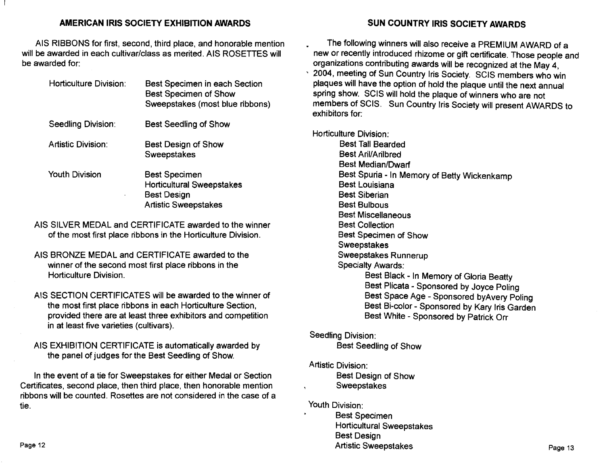#### **AMERICAN IRIS SOCIETY EXHIBITION AWARDS**

AIS RIBBONS for first, second, third place, and honorable mention will be awarded in each cultivar/class as merited. AIS ROSETTES will be awarded for:

| Horticulture Division: | Best Specimen in each Section<br><b>Best Specimen of Show</b><br>Sweepstakes (most blue ribbons)              |
|------------------------|---------------------------------------------------------------------------------------------------------------|
| Seedling Division:     | Best Seedling of Show                                                                                         |
| Artistic Division:     | Best Design of Show<br>Sweepstakes                                                                            |
| <b>Youth Division</b>  | <b>Best Specimen</b><br><b>Horticultural Sweepstakes</b><br><b>Best Design</b><br><b>Artistic Sweepstakes</b> |

AIS SILVER MEDAL and CERTIFICATE awarded to the winner of the most first place ribbons in the Horticulture Division.

- AIS BRONZE MEDAL and CERTIFICATE awarded to the winner of the second most first place ribbons in the Horticulture Division.
- AIS SECTION CERTIFICATES will be awarded to the winner of the most first place ribbons in each Horticulture Section, provided there are at least three exhibitors and competition in at least five varieties (cultivars).

AIS EXHIBITION CERTIFICATE is automatically awarded by the panel of judges for the Best Seedling of Show.

In the event of a tie for Sweepstakes for either Medal or Section Certificates, second place, then third place, then honorable mention ribbons will be counted. Rosettes are not considered in the case of a tie.

#### **SUN COUNTRY IRIS SOCIETY AWARDS**

The following winners will also receive a PREMIUM AWARD of a new or recently introduced rhizome or gift certificate. Those people and organizations contributing awards will be recognized at the May 4, , 2004, meeting of Sun Country Iris Society. SCIS members who win plaques will have the option of hold the plaque until the next annual spring show. SCIS will hold the plaque of winners who are not members of SCIS. Sun Country Iris Society will present AWARDS to exhibitors for:

Horticulture Division:

Best Tall Bearded Best Aril/Arilbred Best Median/Dwarf Best Spuria - In Memory of Betty Wickenkamp Best Louisiana Best Siberian Best Bulbous Best Miscellaneous Best Collection Best Specimen of Show Sweepstakes Sweepstakes Runnerup Specialty Awards: Best Black - In Memory of Gloria Beatty Best Plicata - Sponsored by Joyce Poling Best Space Age - Sponsored byAvery Poling Best Bi-color - Sponsored by Kary Iris Garden Best White - Sponsored by Patrick Orr

#### Seedling Division:

Best Seedling of Show

#### Artistic Division:

Best DeSign of Show Sweepstakes

#### Youth Division:

Best Specimen Horticultural Sweepstakes Best Design Artistic Sweepstakes **Page 13**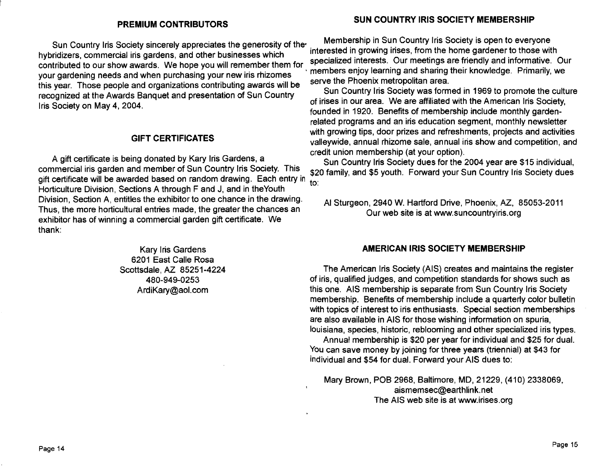hybridizers, commercial iris gardens, and other businesses which Interested In growing inses, from the home gardener to those with  $\sim$  specialized interests. Our meetings are friendly and informative. Our contributed to our show awards. We hope you will remember them for specialized interests. Our meetings are memory and informative. Or your gardening needs and when purchasing your new iris rhizomes intermediating enjoy learning and sharing the international contribution and sharing the serve the Phoenix metropolitan area. this year. Those people and organizations contributing awards will be serve the Phoenix metropolitan area.<br>Sun Country life Society was formed in 1969 to promote the culture recognized at the Awards Banquet and presentation of Sun Country Ins Society on May 4, 2004.<br>Iris Society on May 4, 2004.

#### **GIFT CERTIFICATES**

A gift certificate is being donated by Kary Iris Gardens, a credit union membership (at your option).<br>Sun Country Iris Society dues for the 2004 year are \$15 individual, commercial iris garden and member of Sun Country Iris Society. This same sum Sun the Country and \$5 youth. Forward your Sun Country Iris Society dues gift certificate will be awarded based on random drawing. Each entry in  $\frac{5}{10}$ Horticulture Division, Sections A through F and J, and in the Youth Division, Section A, entitles the exhibitor to one chance in the drawing. Thus, the more horticultural entries made, the greater the chances an exhibitor has of winning a commercial garden gift certificate. We thank:

> Kary Iris Gardens 6201 East Calle Rosa Scottsdale, AZ 85251-4224 480-949-0253 ArdiKary@aol.com

# **PREMIUM CONTRIBUTORS SUN COUNTRY IRIS SOCIETY MEMBERSHIP**

Sun Country Iris Society sincerely appreciates the generosity of the Membership in Sun Country Iris Society is open to everyone<br>interested in growing irises, from the home gardener to those with

founded in 1920. Benefits of membership include monthly gardenrelated programs and an iris education segment, monthly newsletter with growing tips, door prizes and refreshments, projects and activities valleywide, annual rhizome sale, annual iris show and competition, and

AI Sturgeon, 2940 W. Hartford Drive, Phoenix, AZ, 85053-2011 Our web site is at www.suncountryiris.org

#### **AMERICAN IRIS SOCIETY MEMBERSHIP**

The American Iris Society (AIS) creates and maintains the register of iris, qualified judges, and competition standards for shows such as this one. AIS membership is separate from Sun Country Iris Society membership. Benefits of membership include a quarterly color bulletin with topics of interest to iris enthusiasts. Special section memberships are also available in AIS for those wishing information on spuria, louisiana, species, historic, reblooming and other specialized iris types.

Annual membership is \$20 per year for individual and \$25 for dual. You can save money by joining for three years (triennial) at \$43 for individual and \$54 for dual. Forward your AIS dues to:

Mary Brown, POB 2968, Baltimore, MD, 21229, (410) 2338069, aismemsec@earthlink.net The AIS web site is at www.irises.org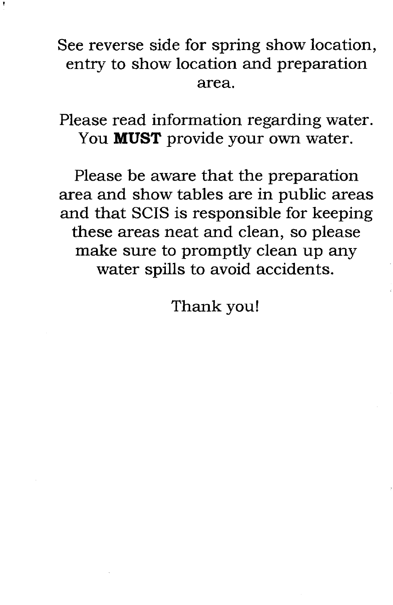See reverse side for spring show location, entry to show location and preparation area.

Please read information regarding water. You **MUST** provide your own water.

Please be aware that the preparation area and show tables are in public areas and that SCIS is responsible for keeping these areas neat and clean, so please make sure to promptly clean up any water spills to avoid accidents.

Thank you!